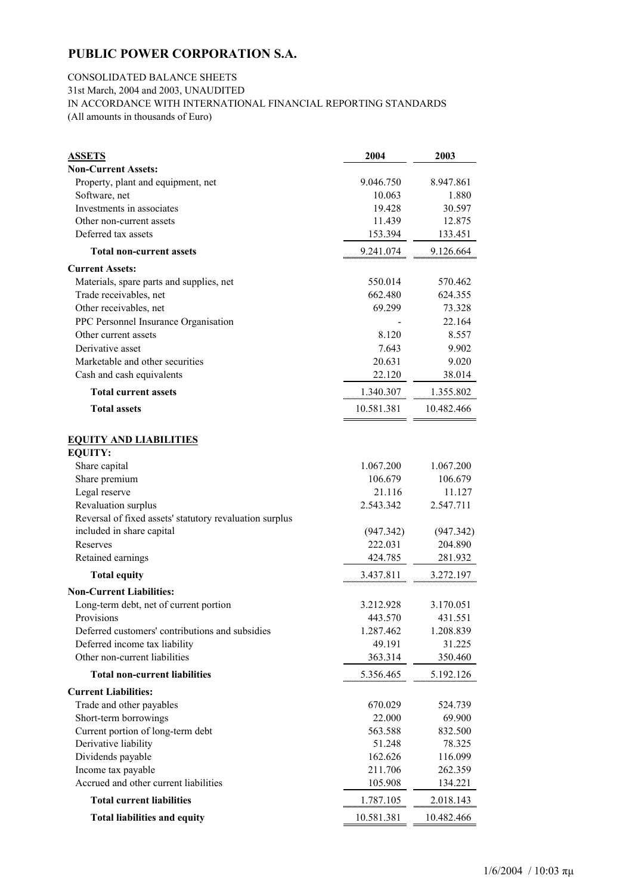### CONSOLIDATED BALANCE SHEETS 31st March, 2004 and 2003, UNAUDITED IN ACCORDANCE WITH INTERNATIONAL FINANCIAL REPORTING STANDARDS

(All amounts in thousands of Euro)

| <b>ASSETS</b>                                           | 2004       | 2003       |
|---------------------------------------------------------|------------|------------|
| <b>Non-Current Assets:</b>                              |            |            |
| Property, plant and equipment, net                      | 9.046.750  | 8.947.861  |
| Software, net                                           | 10.063     | 1.880      |
| Investments in associates                               | 19.428     | 30.597     |
| Other non-current assets                                | 11.439     | 12.875     |
| Deferred tax assets                                     | 153.394    | 133.451    |
| <b>Total non-current assets</b>                         | 9.241.074  | 9.126.664  |
| <b>Current Assets:</b>                                  |            |            |
| Materials, spare parts and supplies, net                | 550.014    | 570.462    |
| Trade receivables, net                                  | 662.480    | 624.355    |
| Other receivables, net                                  | 69.299     | 73.328     |
| PPC Personnel Insurance Organisation                    |            | 22.164     |
| Other current assets                                    | 8.120      | 8.557      |
| Derivative asset                                        | 7.643      | 9.902      |
| Marketable and other securities                         | 20.631     | 9.020      |
| Cash and cash equivalents                               | 22.120     | 38.014     |
| <b>Total current assets</b>                             | 1.340.307  | 1.355.802  |
| <b>Total assets</b>                                     | 10.581.381 | 10.482.466 |
| <b>EQUITY AND LIABILITIES</b>                           |            |            |
| <b>EQUITY:</b>                                          |            |            |
| Share capital                                           | 1.067.200  | 1.067.200  |
| Share premium                                           | 106.679    | 106.679    |
| Legal reserve                                           | 21.116     | 11.127     |
| Revaluation surplus                                     | 2.543.342  | 2.547.711  |
| Reversal of fixed assets' statutory revaluation surplus |            |            |
| included in share capital                               | (947.342)  | (947.342)  |
| Reserves                                                | 222.031    | 204.890    |
| Retained earnings                                       | 424.785    | 281.932    |
| <b>Total equity</b>                                     | 3.437.811  | 3.272.197  |
| <b>Non-Current Liabilities:</b>                         |            |            |
| Long-term debt, net of current portion                  | 3.212.928  | 3.170.051  |
| Provisions                                              | 443.570    | 431.551    |
| Deferred customers' contributions and subsidies         | 1.287.462  | 1.208.839  |
| Deferred income tax liability                           | 49.191     | 31.225     |
| Other non-current liabilities                           | 363.314    | 350.460    |
| <b>Total non-current liabilities</b>                    | 5.356.465  | 5.192.126  |
| <b>Current Liabilities:</b>                             |            |            |
| Trade and other payables                                | 670.029    | 524.739    |
| Short-term borrowings                                   | 22.000     | 69.900     |
| Current portion of long-term debt                       | 563.588    | 832.500    |
| Derivative liability                                    | 51.248     | 78.325     |
| Dividends payable                                       | 162.626    | 116.099    |
| Income tax payable                                      | 211.706    | 262.359    |
| Accrued and other current liabilities                   | 105.908    | 134.221    |
| <b>Total current liabilities</b>                        | 1.787.105  | 2.018.143  |
| <b>Total liabilities and equity</b>                     | 10.581.381 | 10.482.466 |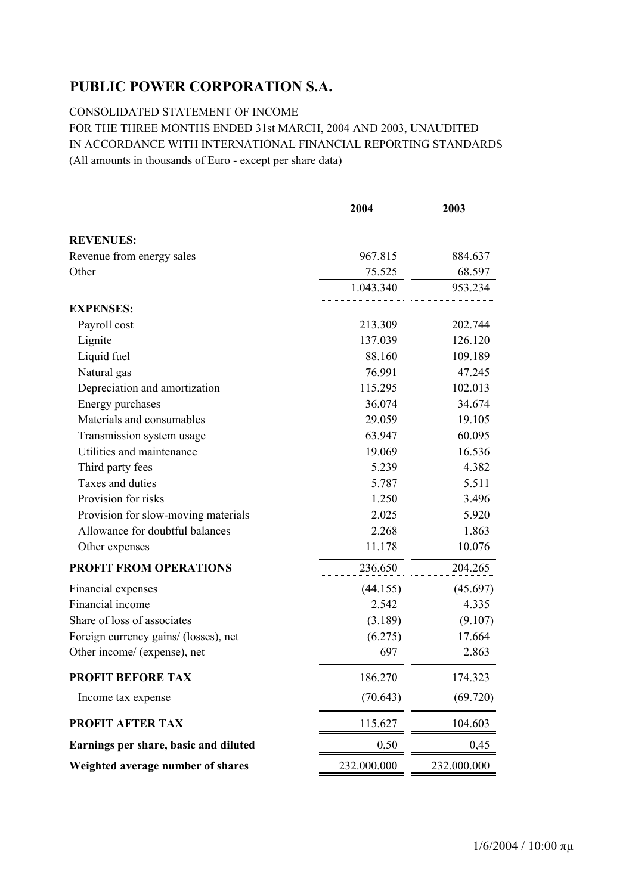CONSOLIDATED STATEMENT OF INCOME

## FOR THE THREE MONTHS ENDED 31st MARCH, 2004 AND 2003, UNAUDITED IN ACCORDANCE WITH INTERNATIONAL FINANCIAL REPORTING STANDARDS (All amounts in thousands of Euro - except per share data)

|                                       | 2004                | 2003              |
|---------------------------------------|---------------------|-------------------|
|                                       |                     |                   |
| <b>REVENUES:</b>                      |                     |                   |
| Revenue from energy sales             | 967.815             | 884.637           |
| Other                                 | 75.525<br>1.043.340 | 68.597<br>953.234 |
|                                       |                     |                   |
| <b>EXPENSES:</b>                      |                     |                   |
| Payroll cost                          | 213.309             | 202.744           |
| Lignite                               | 137.039             | 126.120           |
| Liquid fuel                           | 88.160              | 109.189           |
| Natural gas                           | 76.991              | 47.245            |
| Depreciation and amortization         | 115.295             | 102.013           |
| Energy purchases                      | 36.074              | 34.674            |
| Materials and consumables             | 29.059              | 19.105            |
| Transmission system usage             | 63.947              | 60.095            |
| Utilities and maintenance             | 19.069              | 16.536            |
| Third party fees                      | 5.239               | 4.382             |
| Taxes and duties                      | 5.787               | 5.511             |
| Provision for risks                   | 1.250               | 3.496             |
| Provision for slow-moving materials   | 2.025               | 5.920             |
| Allowance for doubtful balances       | 2.268               | 1.863             |
| Other expenses                        | 11.178              | 10.076            |
| <b>PROFIT FROM OPERATIONS</b>         | 236.650             | 204.265           |
| Financial expenses                    | (44.155)            | (45.697)          |
| Financial income                      | 2.542               | 4.335             |
| Share of loss of associates           | (3.189)             | (9.107)           |
| Foreign currency gains/ (losses), net | (6.275)             | 17.664            |
| Other income/ (expense), net          | 697                 | 2.863             |
| <b>PROFIT BEFORE TAX</b>              | 186.270             | 174.323           |
| Income tax expense                    | (70.643)            | (69.720)          |
| PROFIT AFTER TAX                      | 115.627             | 104.603           |
| Earnings per share, basic and diluted | 0,50                | 0,45              |
| Weighted average number of shares     | 232.000.000         | 232.000.000       |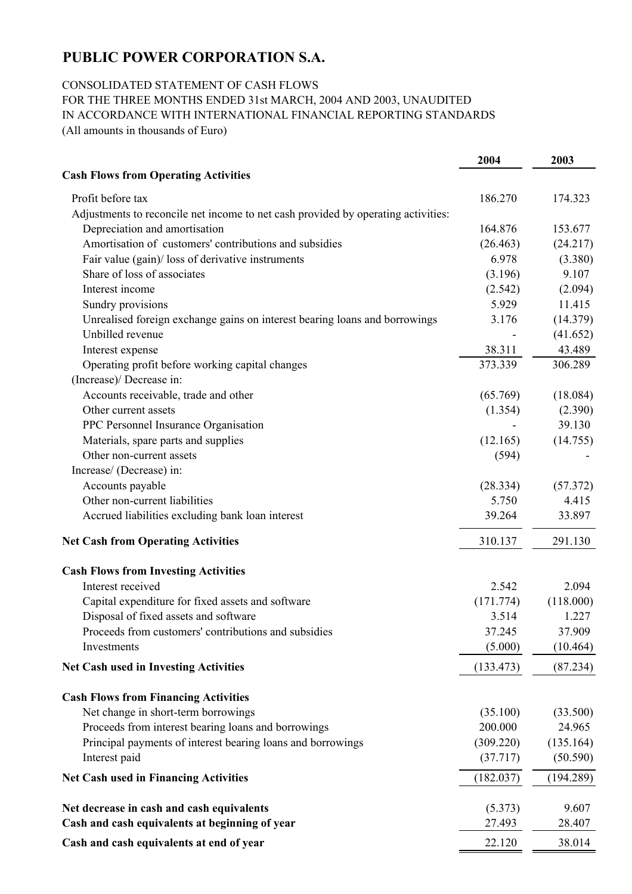### CONSOLIDATED STATEMENT OF CASH FLOWS

FOR THE THREE MONTHS ENDED 31st MARCH, 2004 AND 2003, UNAUDITED IN ACCORDANCE WITH INTERNATIONAL FINANCIAL REPORTING STANDARDS

(All amounts in thousands of Euro)

|                                                                                   | 2004      | 2003      |
|-----------------------------------------------------------------------------------|-----------|-----------|
| <b>Cash Flows from Operating Activities</b>                                       |           |           |
| Profit before tax                                                                 | 186.270   | 174.323   |
| Adjustments to reconcile net income to net cash provided by operating activities: |           |           |
| Depreciation and amortisation                                                     | 164.876   | 153.677   |
| Amortisation of customers' contributions and subsidies                            | (26.463)  | (24.217)  |
| Fair value (gain)/ loss of derivative instruments                                 | 6.978     | (3.380)   |
| Share of loss of associates                                                       | (3.196)   | 9.107     |
| Interest income                                                                   | (2.542)   | (2.094)   |
| Sundry provisions                                                                 | 5.929     | 11.415    |
| Unrealised foreign exchange gains on interest bearing loans and borrowings        | 3.176     | (14.379)  |
| Unbilled revenue                                                                  |           | (41.652)  |
| Interest expense                                                                  | 38.311    | 43.489    |
| Operating profit before working capital changes                                   | 373.339   | 306.289   |
| (Increase)/ Decrease in:                                                          |           |           |
| Accounts receivable, trade and other                                              | (65.769)  | (18.084)  |
| Other current assets                                                              | (1.354)   | (2.390)   |
| PPC Personnel Insurance Organisation                                              |           | 39.130    |
| Materials, spare parts and supplies                                               | (12.165)  | (14.755)  |
| Other non-current assets                                                          | (594)     |           |
| Increase/ (Decrease) in:                                                          |           |           |
| Accounts payable                                                                  | (28.334)  | (57.372)  |
| Other non-current liabilities                                                     | 5.750     | 4.415     |
| Accrued liabilities excluding bank loan interest                                  | 39.264    | 33.897    |
| <b>Net Cash from Operating Activities</b>                                         | 310.137   | 291.130   |
| <b>Cash Flows from Investing Activities</b>                                       |           |           |
| Interest received                                                                 | 2.542     | 2.094     |
| Capital expenditure for fixed assets and software                                 | (171.774) | (118.000) |
| Disposal of fixed assets and software                                             | 3.514     | 1.227     |
| Proceeds from customers' contributions and subsidies                              | 37.245    | 37.909    |
| Investments                                                                       | (5.000)   | (10.464)  |
| <b>Net Cash used in Investing Activities</b>                                      | (133.473) | (87.234)  |
| <b>Cash Flows from Financing Activities</b>                                       |           |           |
| Net change in short-term borrowings                                               | (35.100)  | (33.500)  |
| Proceeds from interest bearing loans and borrowings                               | 200.000   | 24.965    |
| Principal payments of interest bearing loans and borrowings                       | (309.220) | (135.164) |
| Interest paid                                                                     | (37.717)  | (50.590)  |
| <b>Net Cash used in Financing Activities</b>                                      | (182.037) | (194.289) |
| Net decrease in cash and cash equivalents                                         | (5.373)   | 9.607     |
| Cash and cash equivalents at beginning of year                                    | 27.493    | 28.407    |
| Cash and cash equivalents at end of year                                          | 22.120    | 38.014    |